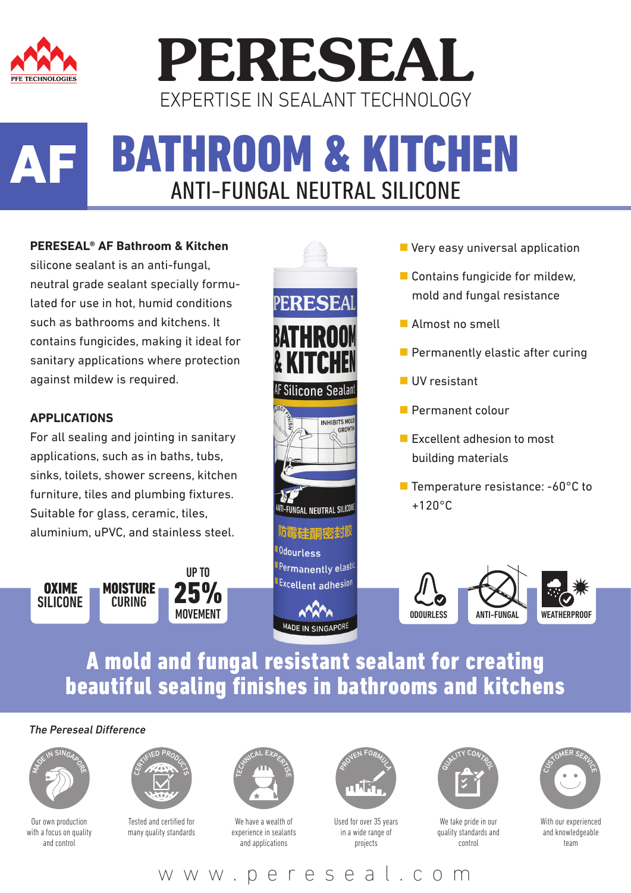

## **PERESEAL** EXPERTISE IN SEALANT TECHNOLOGY

#### BATHROOM & KITCHEN ANTI-FUNGAL NEUTRAL SILICONE AF

#### **PERESEAL® AF Bathroom & Kitchen**

silicone sealant is an anti-fungal, neutral grade sealant specially formulated for use in hot, humid conditions such as bathrooms and kitchens. It contains fungicides, making it ideal for sanitary applications where protection against mildew is required.

#### **APPLICATIONS**

For all sealing and jointing in sanitary applications, such as in baths, tubs, sinks, toilets, shower screens, kitchen furniture, tiles and plumbing fixtures. Suitable for glass, ceramic, tiles, aluminium, uPVC, and stainless steel.





- **Very easy universal application**
- Contains fungicide for mildew, mold and fungal resistance
- **Almost no smell**
- **Permanently elastic after curing**
- UV resistant
- Permanent colour
- **Excellent adhesion to most** building materials
- Temperature resistance: -60°C to +120°C



#### A mold and fungal resistant sealant for creating beautiful sealing finishes in bathrooms and kitchens

MADE IN SINGAPORE

0dourless

Permanently elastic Excellent adhesion

#### *The Pereseal Difference*



Our own production with a focus on quality and control



Tested and certified for many quality standards



We have a wealth of experience in sealants and applications



Used for over 35 years in a wide range of projects



We take pride in our quality standards and control



With our experienced and knowledgeable team

www.pereseal.com